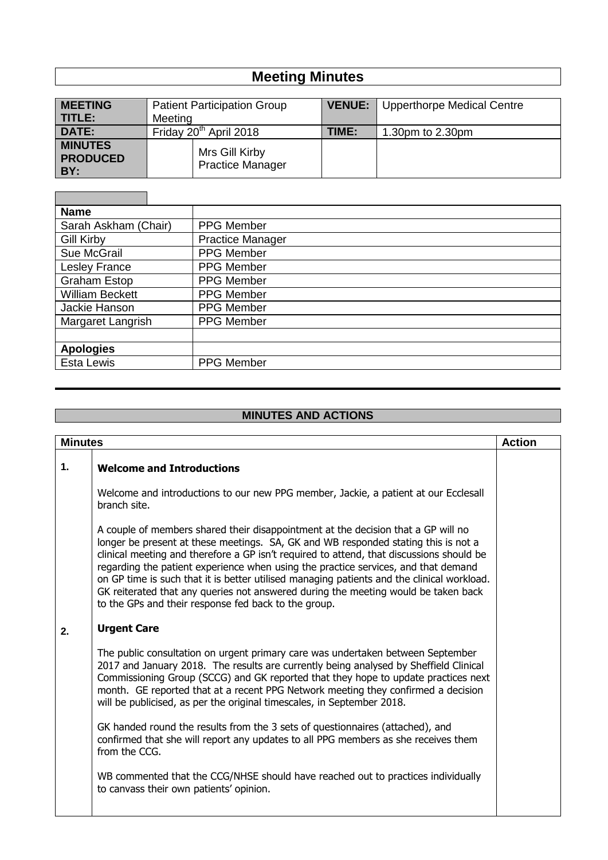## **Meeting Minutes**

| <b>MEETING</b>                           | <b>Patient Participation Group</b>        | <b>VENUE:</b> | <b>Upperthorpe Medical Centre</b> |
|------------------------------------------|-------------------------------------------|---------------|-----------------------------------|
| I TITLEE                                 | Meeting                                   |               |                                   |
| DATE:                                    | Friday 20 <sup>th</sup> April 2018        | TIME:         | 1.30pm to 2.30pm                  |
| <b>MINUTES</b><br><b>PRODUCED</b><br>BY: | Mrs Gill Kirby<br><b>Practice Manager</b> |               |                                   |

п

| <b>Name</b>            |                         |
|------------------------|-------------------------|
| Sarah Askham (Chair)   | <b>PPG Member</b>       |
| <b>Gill Kirby</b>      | <b>Practice Manager</b> |
| Sue McGrail            | PPG Member              |
| <b>Lesley France</b>   | <b>PPG Member</b>       |
| <b>Graham Estop</b>    | PPG Member              |
| <b>William Beckett</b> | PPG Member              |
| Jackie Hanson          | PPG Member              |
| Margaret Langrish      | <b>PPG Member</b>       |
|                        |                         |
| <b>Apologies</b>       |                         |
| <b>Esta Lewis</b>      | PPG Member              |

## **MINUTES AND ACTIONS**

| <b>Minutes</b><br><b>Action</b> |                                                                                                                                                                                                                                                                                                                                                                                                                                                                                                                                                                                                       |  |
|---------------------------------|-------------------------------------------------------------------------------------------------------------------------------------------------------------------------------------------------------------------------------------------------------------------------------------------------------------------------------------------------------------------------------------------------------------------------------------------------------------------------------------------------------------------------------------------------------------------------------------------------------|--|
| 1.                              | <b>Welcome and Introductions</b>                                                                                                                                                                                                                                                                                                                                                                                                                                                                                                                                                                      |  |
|                                 | Welcome and introductions to our new PPG member, Jackie, a patient at our Ecclesall<br>branch site.                                                                                                                                                                                                                                                                                                                                                                                                                                                                                                   |  |
|                                 | A couple of members shared their disappointment at the decision that a GP will no<br>longer be present at these meetings. SA, GK and WB responded stating this is not a<br>clinical meeting and therefore a GP isn't required to attend, that discussions should be<br>regarding the patient experience when using the practice services, and that demand<br>on GP time is such that it is better utilised managing patients and the clinical workload.<br>GK reiterated that any queries not answered during the meeting would be taken back<br>to the GPs and their response fed back to the group. |  |
| 2.                              | <b>Urgent Care</b>                                                                                                                                                                                                                                                                                                                                                                                                                                                                                                                                                                                    |  |
|                                 | The public consultation on urgent primary care was undertaken between September<br>2017 and January 2018. The results are currently being analysed by Sheffield Clinical<br>Commissioning Group (SCCG) and GK reported that they hope to update practices next<br>month. GE reported that at a recent PPG Network meeting they confirmed a decision<br>will be publicised, as per the original timescales, in September 2018.                                                                                                                                                                         |  |
|                                 | GK handed round the results from the 3 sets of questionnaires (attached), and<br>confirmed that she will report any updates to all PPG members as she receives them<br>from the CCG.                                                                                                                                                                                                                                                                                                                                                                                                                  |  |
|                                 | WB commented that the CCG/NHSE should have reached out to practices individually<br>to canvass their own patients' opinion.                                                                                                                                                                                                                                                                                                                                                                                                                                                                           |  |
|                                 |                                                                                                                                                                                                                                                                                                                                                                                                                                                                                                                                                                                                       |  |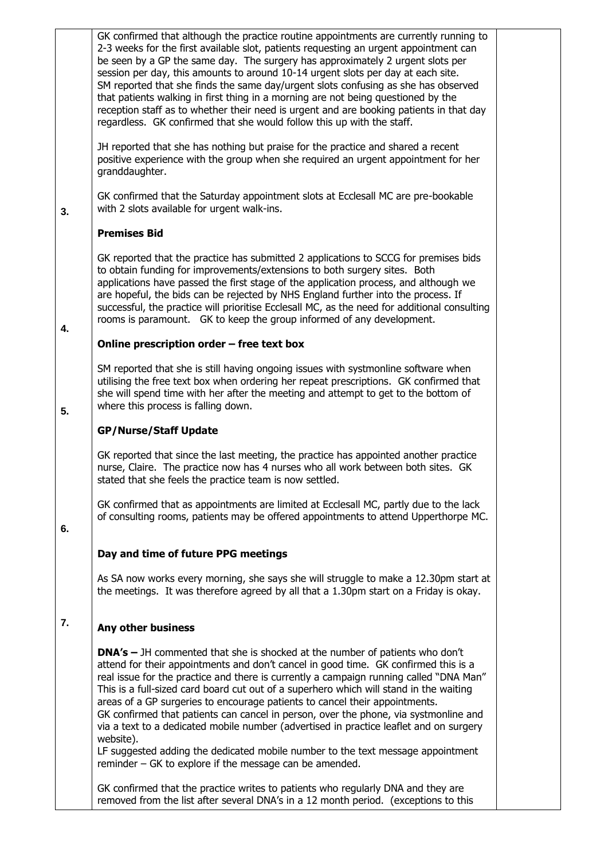|    | GK confirmed that although the practice routine appointments are currently running to<br>2-3 weeks for the first available slot, patients requesting an urgent appointment can<br>be seen by a GP the same day. The surgery has approximately 2 urgent slots per<br>session per day, this amounts to around 10-14 urgent slots per day at each site.<br>SM reported that she finds the same day/urgent slots confusing as she has observed<br>that patients walking in first thing in a morning are not being questioned by the<br>reception staff as to whether their need is urgent and are booking patients in that day<br>regardless. GK confirmed that she would follow this up with the staff.                                                                                       |
|----|--------------------------------------------------------------------------------------------------------------------------------------------------------------------------------------------------------------------------------------------------------------------------------------------------------------------------------------------------------------------------------------------------------------------------------------------------------------------------------------------------------------------------------------------------------------------------------------------------------------------------------------------------------------------------------------------------------------------------------------------------------------------------------------------|
|    | JH reported that she has nothing but praise for the practice and shared a recent<br>positive experience with the group when she required an urgent appointment for her<br>granddaughter.                                                                                                                                                                                                                                                                                                                                                                                                                                                                                                                                                                                                   |
| 3. | GK confirmed that the Saturday appointment slots at Ecclesall MC are pre-bookable<br>with 2 slots available for urgent walk-ins.                                                                                                                                                                                                                                                                                                                                                                                                                                                                                                                                                                                                                                                           |
|    | <b>Premises Bid</b>                                                                                                                                                                                                                                                                                                                                                                                                                                                                                                                                                                                                                                                                                                                                                                        |
| 4. | GK reported that the practice has submitted 2 applications to SCCG for premises bids<br>to obtain funding for improvements/extensions to both surgery sites. Both<br>applications have passed the first stage of the application process, and although we<br>are hopeful, the bids can be rejected by NHS England further into the process. If<br>successful, the practice will prioritise Ecclesall MC, as the need for additional consulting<br>rooms is paramount. GK to keep the group informed of any development.                                                                                                                                                                                                                                                                    |
|    | Online prescription order - free text box                                                                                                                                                                                                                                                                                                                                                                                                                                                                                                                                                                                                                                                                                                                                                  |
| 5. | SM reported that she is still having ongoing issues with systmonline software when<br>utilising the free text box when ordering her repeat prescriptions. GK confirmed that<br>she will spend time with her after the meeting and attempt to get to the bottom of<br>where this process is falling down.                                                                                                                                                                                                                                                                                                                                                                                                                                                                                   |
|    | <b>GP/Nurse/Staff Update</b>                                                                                                                                                                                                                                                                                                                                                                                                                                                                                                                                                                                                                                                                                                                                                               |
|    | GK reported that since the last meeting, the practice has appointed another practice<br>nurse, Claire. The practice now has 4 nurses who all work between both sites. GK<br>stated that she feels the practice team is now settled.                                                                                                                                                                                                                                                                                                                                                                                                                                                                                                                                                        |
| 6. | GK confirmed that as appointments are limited at Ecclesall MC, partly due to the lack<br>of consulting rooms, patients may be offered appointments to attend Upperthorpe MC.                                                                                                                                                                                                                                                                                                                                                                                                                                                                                                                                                                                                               |
|    | Day and time of future PPG meetings                                                                                                                                                                                                                                                                                                                                                                                                                                                                                                                                                                                                                                                                                                                                                        |
|    | As SA now works every morning, she says she will struggle to make a 12.30pm start at<br>the meetings. It was therefore agreed by all that a 1.30pm start on a Friday is okay.                                                                                                                                                                                                                                                                                                                                                                                                                                                                                                                                                                                                              |
| 7. | Any other business                                                                                                                                                                                                                                                                                                                                                                                                                                                                                                                                                                                                                                                                                                                                                                         |
|    | <b>DNA's</b> – JH commented that she is shocked at the number of patients who don't<br>attend for their appointments and don't cancel in good time. GK confirmed this is a<br>real issue for the practice and there is currently a campaign running called "DNA Man"<br>This is a full-sized card board cut out of a superhero which will stand in the waiting<br>areas of a GP surgeries to encourage patients to cancel their appointments.<br>GK confirmed that patients can cancel in person, over the phone, via systmonline and<br>via a text to a dedicated mobile number (advertised in practice leaflet and on surgery<br>website).<br>LF suggested adding the dedicated mobile number to the text message appointment<br>reminder – GK to explore if the message can be amended. |
|    | GK confirmed that the practice writes to patients who regularly DNA and they are<br>removed from the list after several DNA's in a 12 month period. (exceptions to this                                                                                                                                                                                                                                                                                                                                                                                                                                                                                                                                                                                                                    |